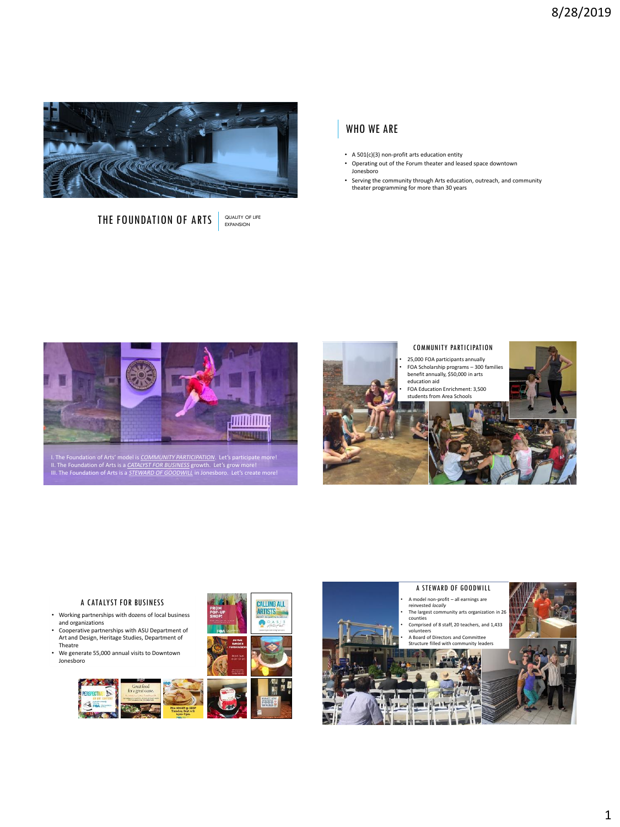

# THE FOUNDATION OF ARTS

QUALITY OF LIFE<br>EXPANSION

# WHO WE ARE

- A 501(c)(3) non-profit arts education entity
- Operating out of the Forum theater and leased space downtown Jonesboro
- Serving the community through Arts education, outreach, and community theater programming for more than 30 years



I. The Foundation of Arts' model is *COMMUNITY PARTICIPATION*. Let's participate more!<br>II. The Foundation of Arts is a <u>CATAIYST FOR BUSINESS</u> growth. Let's grow more!<br>III. The Foundation of Arts is a <u>STEWARD OF GOODWILL</u>



### COMMUNITY PARTICIPATION

• 25,000 FOA participants annually • FOA Scholarship programs – 300 families benefit annually, \$50,000 in arts education aid • FOA Education Enrichment: 3,500



### A CATALYST FOR BUSINESS

- Working partnerships with dozens of local business and organizations
- Cooperative partnerships with ASU Department of Art and Design, Heritage Studies, Department of Theatre
- We generate 55,000 annual visits to Downtown Jonesboro





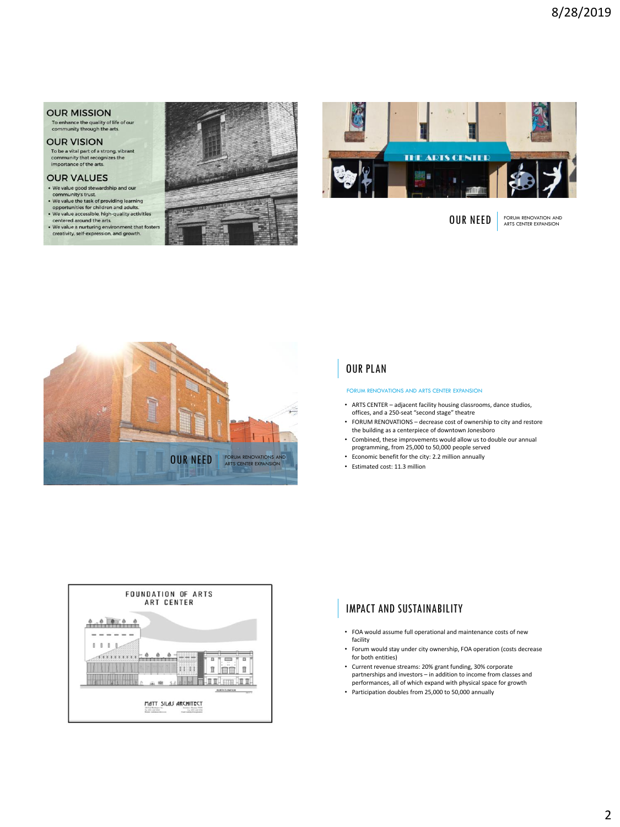## **OUR MISSION**

To enhance the quality of life of our<br>community through the arts.

## **OUR VISION**

To be a vital part of a strong, vibrant<br>community that recognizes the<br>importance of the arts.

## **OUR VALUES**

- · We value good stewardship and our
- we value good stewardship and our<br>
community's trust.<br>
 We value the task of providing learning<br>
 We value accessible, high-quality activities<br>
 We value accessible, high-quality activities
- We value accessible, mg/r quality accords<br>centered around the arts.<br>• We value a nurturing environment that fosters
- creativity, self-expression, and growth.





OUR NEED FORUM RENOVATION AND



# OUR PLAN

#### FORUM RENOVATIONS AND ARTS CENTER EXPANSION

- ARTS CENTER adjacent facility housing classrooms, dance studios, offices, and a 250-seat "second stage" theatre
- FORUM RENOVATIONS decrease cost of ownership to city and restore the building as a centerpiece of downtown Jonesboro
- Combined, these improvements would allow us to double our annual programming, from 25,000 to 50,000 people served
- Economic benefit for the city: 2.2 million annually
- Estimated cost: 11.3 million



# IMPACT AND SUSTAINABILITY

- FOA would assume full operational and maintenance costs of new facility
- Forum would stay under city ownership, FOA operation (costs decrease for both entities)
- Current revenue streams: 20% grant funding, 30% corporate partnerships and investors – in addition to income from classes and performances, all of which expand with physical space for growth
- Participation doubles from 25,000 to 50,000 annually